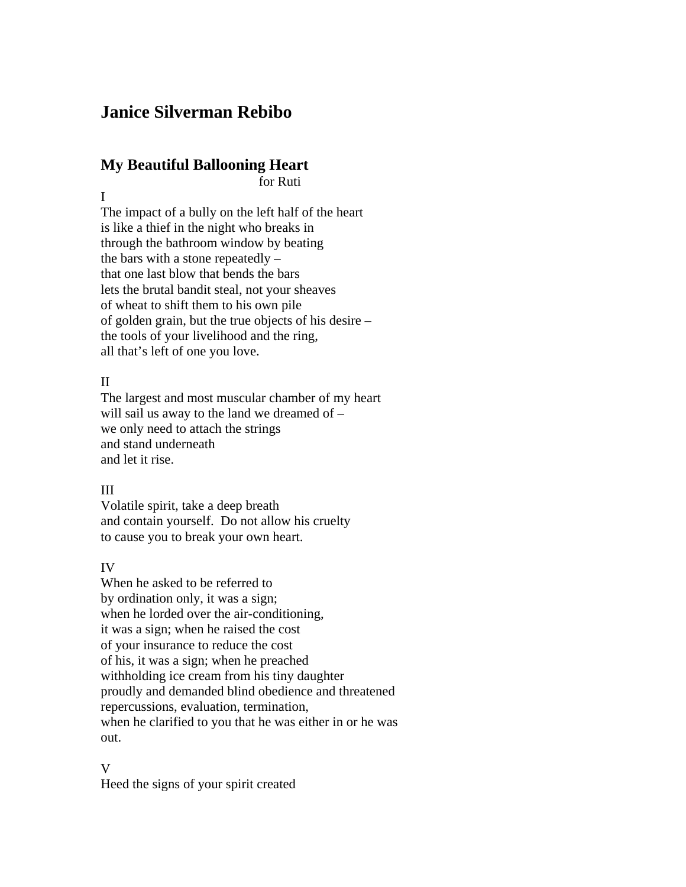# **Janice Silverman Rebibo**

## **My Beautiful Ballooning Heart**

for Ruti

I

The impact of a bully on the left half of the heart is like a thief in the night who breaks in through the bathroom window by beating the bars with a stone repeatedly – that one last blow that bends the bars lets the brutal bandit steal, not your sheaves of wheat to shift them to his own pile of golden grain, but the true objects of his desire – the tools of your livelihood and the ring, all that's left of one you love.

### II

The largest and most muscular chamber of my heart will sail us away to the land we dreamed of – we only need to attach the strings and stand underneath and let it rise.

## III

Volatile spirit, take a deep breath and contain yourself. Do not allow his cruelty to cause you to break your own heart.

## IV

When he asked to be referred to by ordination only, it was a sign; when he lorded over the air-conditioning, it was a sign; when he raised the cost of your insurance to reduce the cost of his, it was a sign; when he preached withholding ice cream from his tiny daughter proudly and demanded blind obedience and threatened repercussions, evaluation, termination, when he clarified to you that he was either in or he was out.

#### V

Heed the signs of your spirit created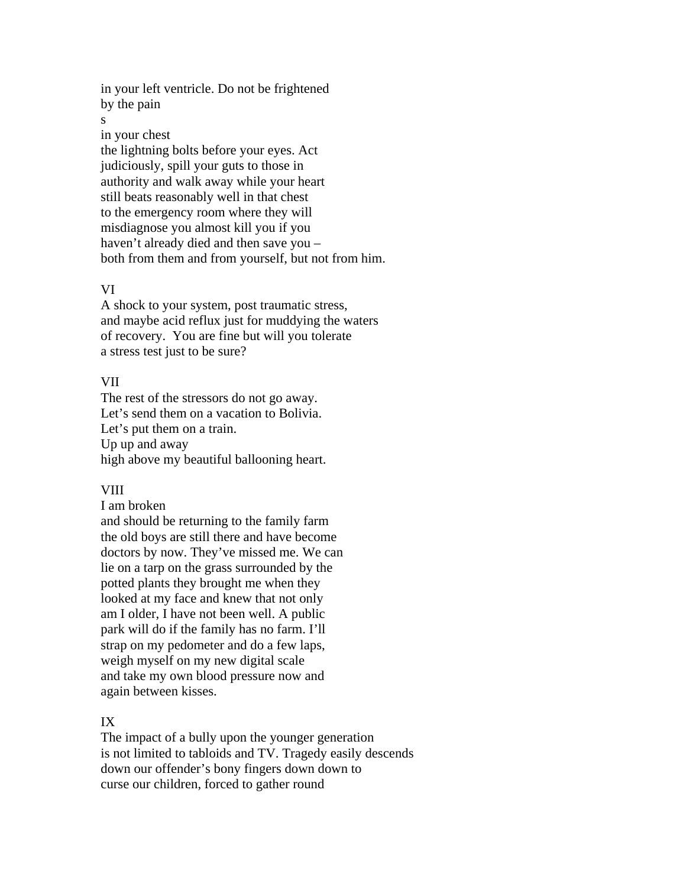in your left ventricle. Do not be frightened by the pain

s

in your chest

the lightning bolts before your eyes. Act judiciously, spill your guts to those in authority and walk away while your heart still beats reasonably well in that chest to the emergency room where they will misdiagnose you almost kill you if you haven't already died and then save you – both from them and from yourself, but not from him.

#### VI

A shock to your system, post traumatic stress, and maybe acid reflux just for muddying the waters of recovery. You are fine but will you tolerate a stress test just to be sure?

#### VII

The rest of the stressors do not go away. Let's send them on a vacation to Bolivia. Let's put them on a train. Up up and away high above my beautiful ballooning heart.

#### VIII

I am broken

and should be returning to the family farm the old boys are still there and have become doctors by now. They've missed me. We can lie on a tarp on the grass surrounded by the potted plants they brought me when they looked at my face and knew that not only am I older, I have not been well. A public park will do if the family has no farm. I'll strap on my pedometer and do a few laps, weigh myself on my new digital scale and take my own blood pressure now and again between kisses.

#### IX

The impact of a bully upon the younger generation is not limited to tabloids and TV. Tragedy easily descends down our offender's bony fingers down down to curse our children, forced to gather round